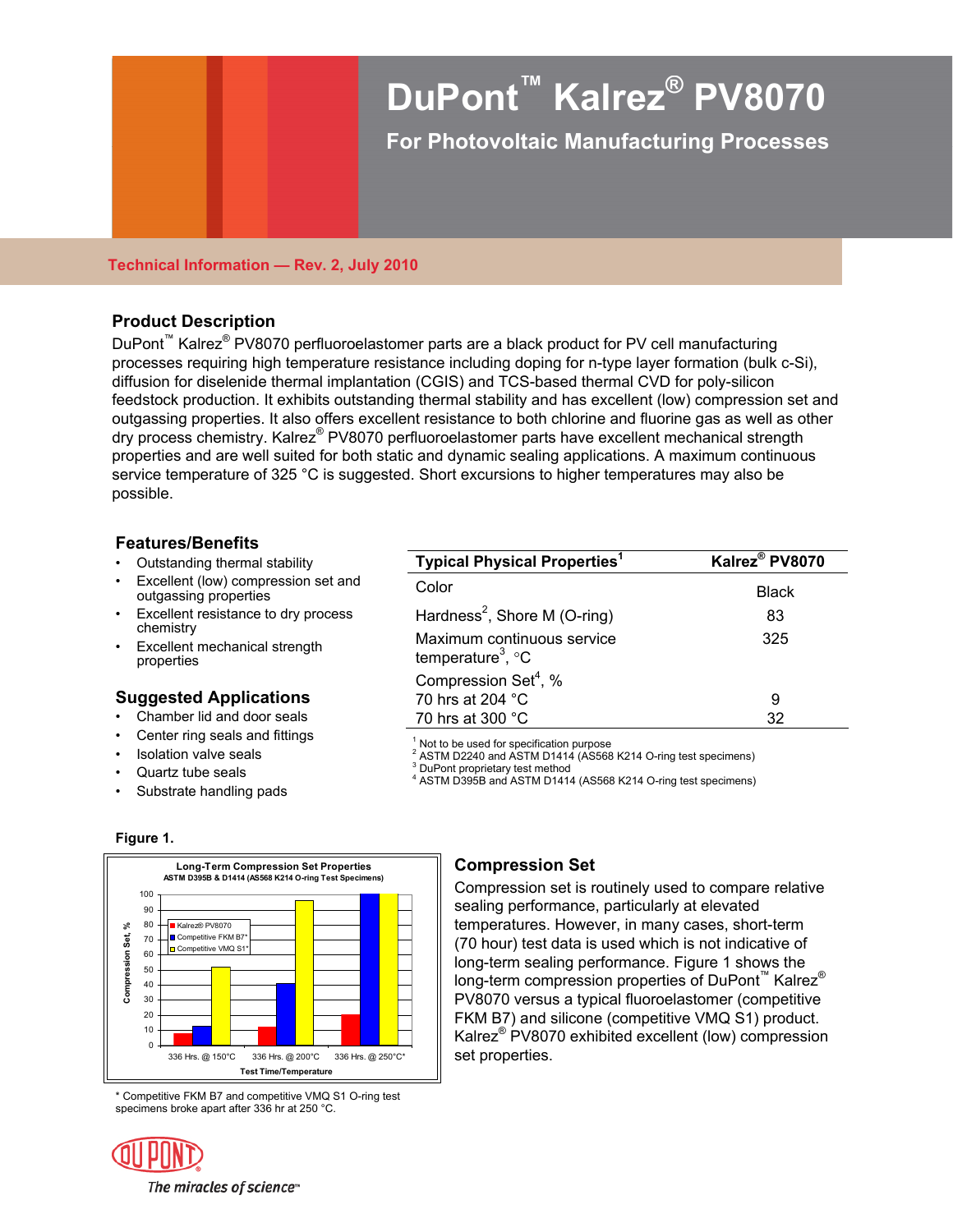

# **Technical Information — Rev. 2, July 2010**

# **Product Description**

DuPont<sup>™</sup> Kalrez<sup>®</sup> PV8070 perfluoroelastomer parts are a black product for PV cell manufacturing processes requiring high temperature resistance including doping for n-type layer formation (bulk c-Si), diffusion for diselenide thermal implantation (CGIS) and TCS-based thermal CVD for poly-silicon feedstock production. It exhibits outstanding thermal stability and has excellent (low) compression set and outgassing properties. It also offers excellent resistance to both chlorine and fluorine gas as well as other dry process chemistry. Kalrez® PV8070 perfluoroelastomer parts have excellent mechanical strength properties and are well suited for both static and dynamic sealing applications. A maximum continuous service temperature of 325 °C is suggested. Short excursions to higher temperatures may also be possible.

# **Features/Benefits**

- Outstanding thermal stability
- Excellent (low) compression set and outgassing properties
- Excellent resistance to dry process chemistry
- Excellent mechanical strength properties

## **Suggested Applications**

- Chamber lid and door seals
- Center ring seals and fittings
- Isolation valve seals
- Quartz tube seals
- Substrate handling pads

## **Figure 1.**



 \* Competitive FKM B7 and competitive VMQ S1 O-ring test specimens broke apart after 336 hr at 250 °C.



| <b>Typical Physical Properties</b> <sup>1</sup>                       | Kalrez <sup>®</sup> PV8070 |
|-----------------------------------------------------------------------|----------------------------|
| Color                                                                 | Black                      |
| Hardness <sup>2</sup> , Shore M (O-ring)                              | 83                         |
| Maximum continuous service<br>temperature <sup>3</sup> , $^{\circ}$ C | 325                        |
| Compression Set <sup>4</sup> , %                                      |                            |
| 70 hrs at 204 °C                                                      | 9                          |
| 70 hrs at 300 °C                                                      | 32                         |

 $<sup>1</sup>$  Not to be used for specification purpose</sup>

2 ASTM D2240 and ASTM D1414 (AS568 K214 O-ring test specimens)

<sup>3</sup> DuPont proprietary test method

4 ASTM D395B and ASTM D1414 (AS568 K214 O-ring test specimens)

Compression set is routinely used to compare relative sealing performance, particularly at elevated temperatures. However, in many cases, short-term (70 hour) test data is used which is not indicative of long-term sealing performance. Figure 1 shows the long-term compression properties of DuPont<sup>™</sup> Kalrez<sup>®</sup> PV8070 versus a typical fluoroelastomer (competitive FKM B7) and silicone (competitive VMQ S1) product. Kalrez® PV8070 exhibited excellent (low) compression set properties.